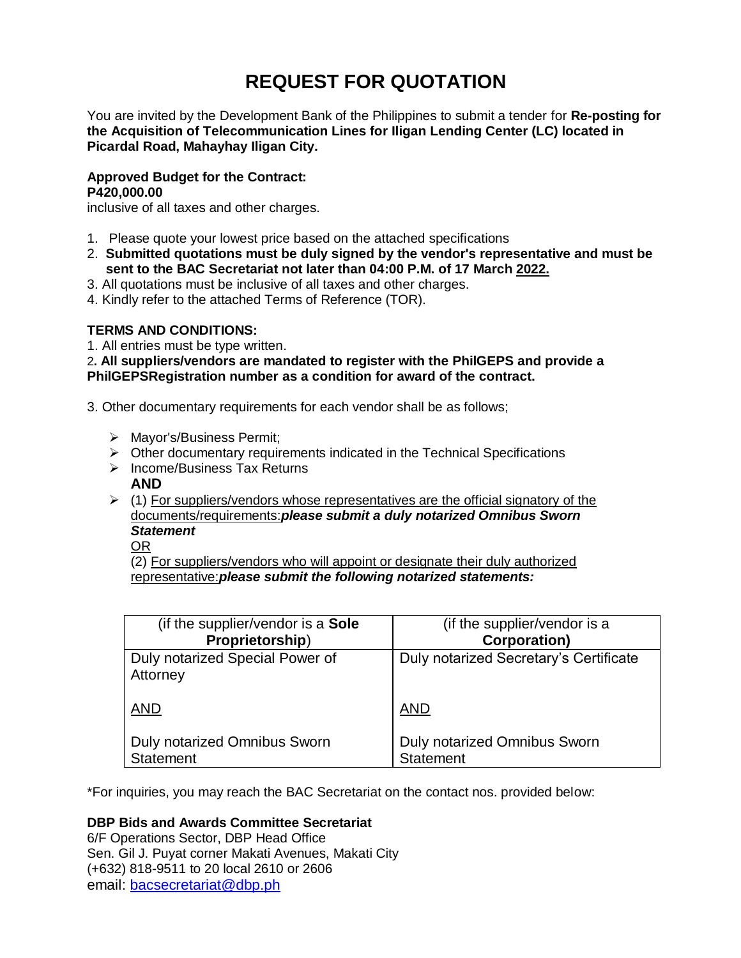# **REQUEST FOR QUOTATION**

You are invited by the Development Bank of the Philippines to submit a tender for **Re-posting for the Acquisition of Telecommunication Lines for Iligan Lending Center (LC) located in Picardal Road, Mahayhay Iligan City.**

## **Approved Budget for the Contract: P420,000.00**

inclusive of all taxes and other charges.

- 1. Please quote your lowest price based on the attached specifications
- 2. **Submitted quotations must be duly signed by the vendor's representative and must be sent to the BAC Secretariat not later than 04:00 P.M. of 17 March 2022.**
- 3. All quotations must be inclusive of all taxes and other charges.
- 4. Kindly refer to the attached Terms of Reference (TOR).

# **TERMS AND CONDITIONS:**

1. All entries must be type written.

2**. All suppliers/vendors are mandated to register with the PhilGEPS and provide a PhilGEPSRegistration number as a condition for award of the contract.**

- 3. Other documentary requirements for each vendor shall be as follows;
	- > Mayor's/Business Permit;
	- $\triangleright$  Other documentary requirements indicated in the Technical Specifications
	- > Income/Business Tax Returns
		- **AND**
	- $\geq$  (1) For suppliers/vendors whose representatives are the official signatory of the documents/requirements:*please submit a duly notarized Omnibus Sworn Statement*
		- OR

(2) For suppliers/vendors who will appoint or designate their duly authorized representative:*please submit the following notarized statements:*

| (if the supplier/vendor is a Sole           | (if the supplier/vendor is a           |
|---------------------------------------------|----------------------------------------|
| Proprietorship)                             | <b>Corporation)</b>                    |
| Duly notarized Special Power of<br>Attorney | Duly notarized Secretary's Certificate |
| <b>AND</b>                                  | <b>AND</b>                             |
| <b>Duly notarized Omnibus Sworn</b>         | <b>Duly notarized Omnibus Sworn</b>    |
| <b>Statement</b>                            | <b>Statement</b>                       |

\*For inquiries, you may reach the BAC Secretariat on the contact nos. provided below:

# **DBP Bids and Awards Committee Secretariat**

6/F Operations Sector, DBP Head Office Sen. Gil J. Puyat corner Makati Avenues, Makati City (+632) 818-9511 to 20 local 2610 or 2606 email: [bacsecretariat@dbp.ph](mailto:bacsecretariat@dbp.ph)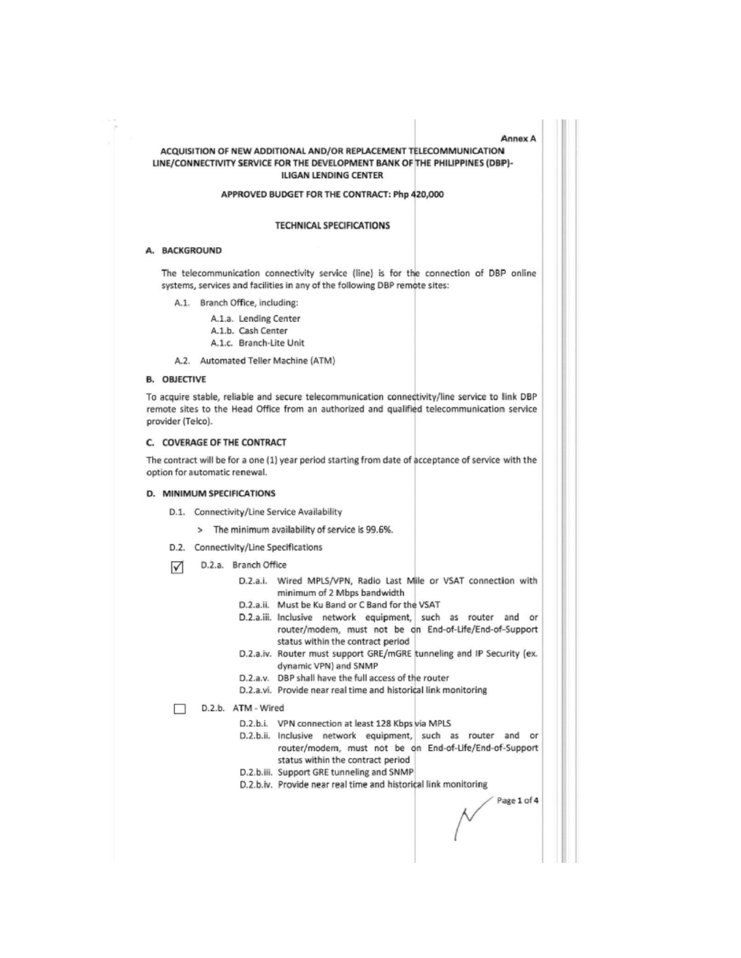#### ACQUISITION OF NEW ADDITIONAL AND/OR REPLACEMENT TELECOMMUNICATION LINE/CONNECTIVITY SERVICE FOR THE DEVELOPMENT BANK OF THE PHILIPPINES (DBP)-**ILIGAN LENDING CENTER**

#### APPROVED BUDGET FOR THE CONTRACT: Php 420,000

#### **TECHNICAL SPECIFICATIONS**

#### A. BACKGROUND

The telecommunication connectivity service (line) is for the connection of DBP online systems, services and facilities in any of the following DBP remote sites:

A.1. Branch Office, including:

A.1.a. Lending Center A.1.b. Cash Center A.1.c. Branch-Lite Unit

A.2. Automated Teller Machine (ATM)

#### **B. OBJECTIVE**

To acquire stable, reliable and secure telecommunication connectivity/line service to link DBP remote sites to the Head Office from an authorized and qualified telecommunication service provider (Telco).

#### C. COVERAGE OF THE CONTRACT

The contract will be for a one (1) year period starting from date of acceptance of service with the option for automatic renewal.

### D. MINIMUM SPECIFICATIONS

- D.1. Connectivity/Line Service Availability
	- > The minimum availability of service is 99.6%.
- D.2. Connectivity/Line Specifications
- D.2.a. Branch Office ∨
	- D.2.a.i. Wired MPLS/VPN, Radio Last Mile or VSAT connection with minimum of 2 Mbps bandwidth
	- D.2.a.ii. Must be Ku Band or C Band for the VSAT
	- D.2.a.iii. Inclusive network equipment, such as router and or router/modem, must not be on End-of-Life/End-of-Support status within the contract period
	- D.2.a.iv. Router must support GRE/mGRE tunneling and IP Security (ex. dynamic VPN) and SNMP
	- D.2.a.v. DBP shall have the full access of the router
	- D.2.a.vi. Provide near real time and historical link monitoring

#### D.2.b. ATM - Wired П

- D.2.b.i. VPN connection at least 128 Kbps via MPLS
- D.2.b.ii. Inclusive network equipment, such as router and or router/modem, must not be on End-of-Life/End-of-Support status within the contract period
- D.2.b.iii. Support GRE tunneling and SNMP
- D.2.b.iv. Provide near real time and historical link monitoring

Page 1 of 4

Annex A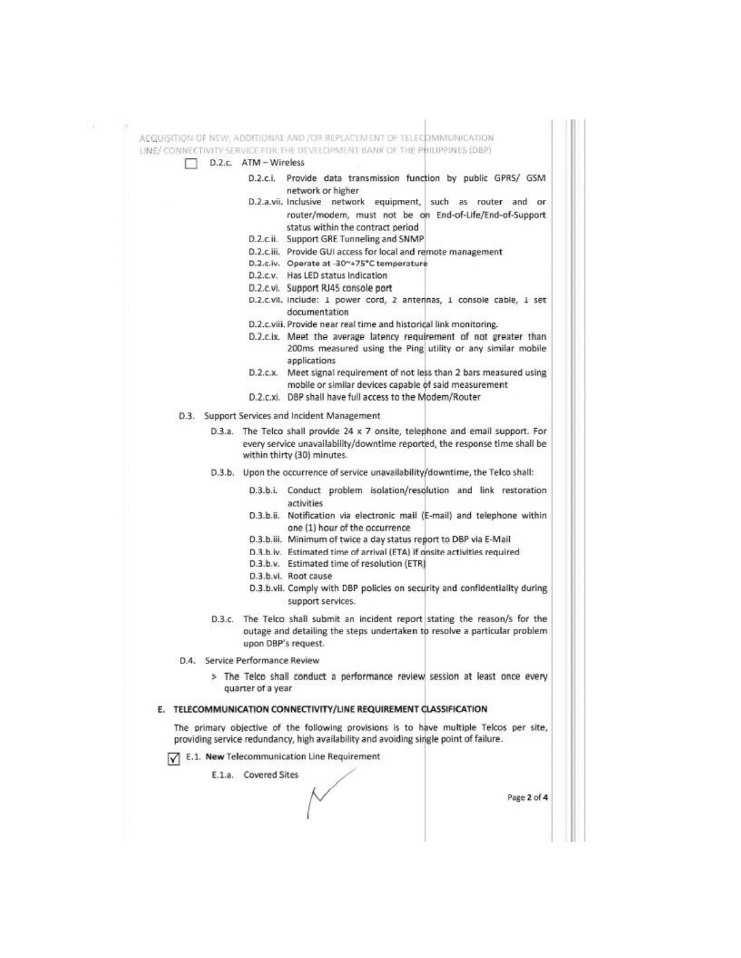٧.

ACQUISITION OF NEW, ADDITIONAL AND /OR REPLACEMENT OF TELECOMMUNICATION LINE/ CONNECTIVITY SERVICE FOR THE DEVELOPMENT BANK OF THE PHILIPPINES (DBP) D.2.c. ATM - Wireless п D.2.c.i.

- Provide data transmission function by public GPRS/ GSM network or higher
- D.2.a.vii. Inclusive network equipment, such as router and or router/modem, must not be on End-of-Life/End-of-Support status within the contract period
- D.2.c.ii. Support GRE Tunneling and SNMP
- D.2.c.iii. Provide GUI access for local and remote management
- D.2.c.iv. Operate at -30~+75°C temperature
- D.2.c.v. Has LED status indication
- D.2.c.vi. Support RJ45 console port
- D.2.c.vil. Include: 1 power cord, 2 anterinas, 1 console cable, 1 set documentation
- D.2.c.viii. Provide near real time and historical link monitoring.
- D.2.c.ix. Meet the average latency requirement of not greater than 200ms measured using the Ping utility or any similar mobile applications
- $D.2.c.x.$ Meet signal requirement of not less than 2 bars measured using mobile or similar devices capable of said measurement
- D.2.c.xi. DBP shall have full access to the Modem/Router
- D.3. Support Services and Incident Management

D.3.a. The Telco shall provide 24 x 7 onsite, telephone and email support. For every service unavailability/downtime reported, the response time shall be within thirty (30) minutes.

- Upon the occurrence of service unavailability/downtime, the Telco shall:  $D.3.b.$ 
	- D.3.b.i. Conduct problem isolation/resolution and link restoration activities
	- D.3.b.ii. Notification via electronic mail (E-mail) and telephone within one (1) hour of the occurrence
	- D.3.b.iii. Minimum of twice a day status report to DBP via E-Mail
	- D.3.b.iv. Estimated time of arrival (ETA) if onsite activities required
	- D.3.b.v. Estimated time of resolution (ETR)
	- D.3.b.vl. Root cause
	- D.3.b.vii. Comply with DBP policies on security and confidentiality during support services.
- D.3.c. The Telco shall submit an incident report stating the reason/s for the outage and detailing the steps undertaken to resolve a particular problem upon DBP's request.
- D.4. Service Performance Review
	- > The Telco shall conduct a performance review session at least once every quarter of a year

#### E. TELECOMMUNICATION CONNECTIVITY/LINE REQUIREMENT CLASSIFICATION

The primary objective of the following provisions is to have multiple Telcos per site, providing service redundancy, high availability and avoiding single point of failure.

E.1. New Telecommunication Line Requirement

E.1.a. Covered Sites

Page 2 of 4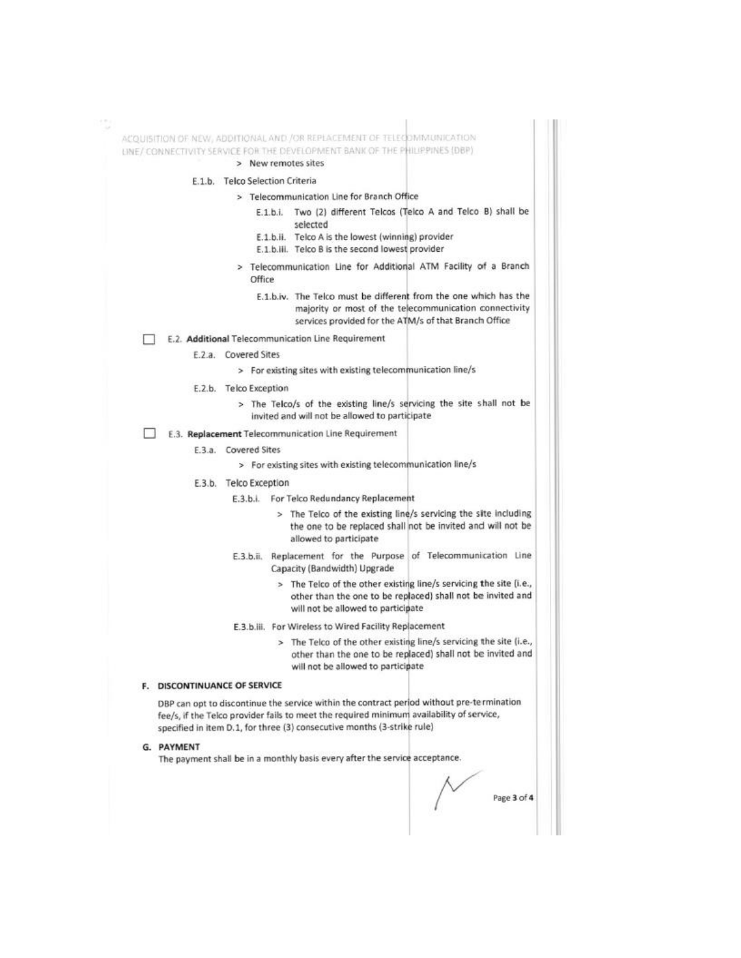ACQUISITION OF NEW, ADDITIONAL AND /OR REPLACEMENT OF TELECOMMUNICATION UNE/ CONNECTIVITY SERVICE FOR THE DEVELOPMENT BANK OF THE PHILIPPINES (DBP) > New remotes sites E.1.b. Telco Selection Criteria > Telecommunication Line for Branch Office E.1.b.i. Two (2) different Telcos (Telco A and Telco B) shall be selected E.1.b.ii. Telco A is the lowest (winning) provider E.1.b.iii. Telco B is the second lowest provider > Telecommunication Line for Additional ATM Facility of a Branch Office E.1.b.iv. The Telco must be different from the one which has the majority or most of the telecommunication connectivity services provided for the ATM/s of that Branch Office E.2. Additional Telecommunication Line Requirement п E.2.a. Covered Sites > For existing sites with existing telecommunication line/s E.2.b. Telco Exception > The Telco/s of the existing line/s servicing the site shall not be invited and will not be allowed to participate E.3. Replacement Telecommunication Line Requirement E.3.a. Covered Sites > For existing sites with existing telecommunication line/s E.3.b. Telco Exception E.3.b.i. For Telco Redundancy Replacement > The Telco of the existing line/s servicing the site including the one to be replaced shall not be invited and will not be allowed to participate E.3.b.ii. Replacement for the Purpose of Telecommunication Line Capacity (Bandwidth) Upgrade > The Telco of the other existing line/s servicing the site (i.e., other than the one to be replaced) shall not be invited and will not be allowed to participate E.3.b.iii. For Wireless to Wired Facility Replacement > The Telco of the other existing line/s servicing the site (i.e., other than the one to be replaced) shall not be invited and will not be allowed to participate F. DISCONTINUANCE OF SERVICE DBP can opt to discontinue the service within the contract period without pre-termination fee/s, if the Telco provider fails to meet the required minimum availability of service, specified in item D.1, for three (3) consecutive months (3-strike rule) G. PAYMENT The payment shall be in a monthly basis every after the service acceptance.

Page 3 of 4